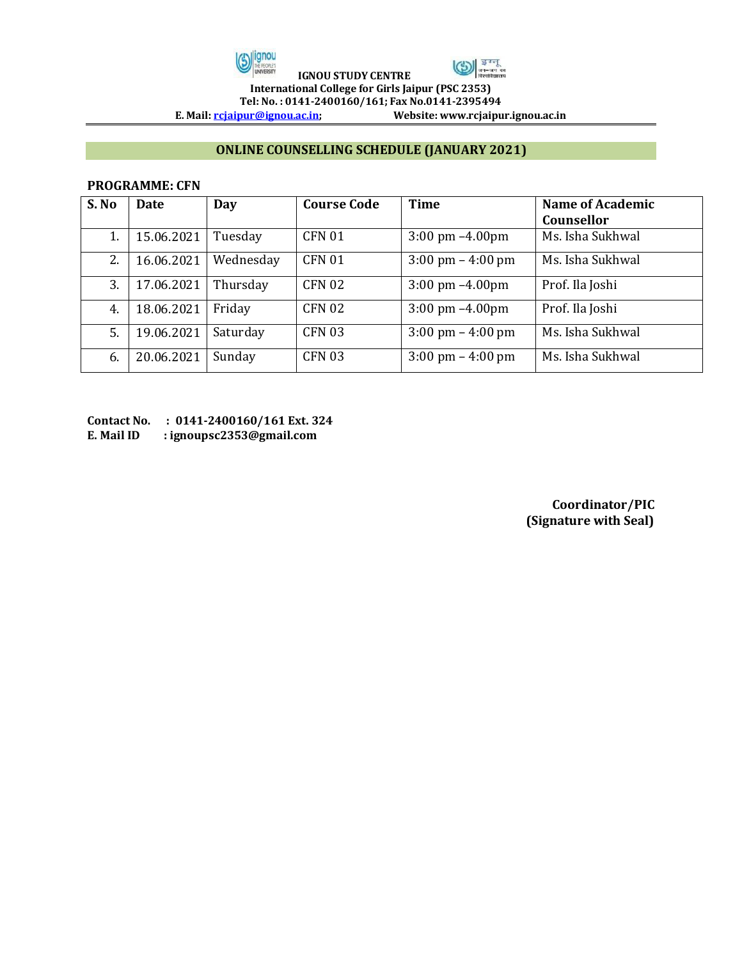



 **IGNOU STUDY CENTRE International College for Girls Jaipur (PSC 2353) Tel: No. : 0141-2400160/161; Fax No.0141-2395494** 

**E. Mail[: rcjaipur@ignou.ac.in;](mailto:rcjaipur@ignou.ac.in) Website: www.rcjaipur.ignou.ac.in**

## **ONLINE COUNSELLING SCHEDULE (JANUARY 2021)**

## **PROGRAMME: CFN**

| S. No | <b>Date</b> | Day       | <b>Course Code</b> | Time                                | <b>Name of Academic</b><br><b>Counsellor</b> |
|-------|-------------|-----------|--------------------|-------------------------------------|----------------------------------------------|
| 1.    | 15.06.2021  | Tuesday   | <b>CFN 01</b>      | $3:00 \text{ pm } -4.00 \text{ pm}$ | Ms. Isha Sukhwal                             |
| 2.    | 16.06.2021  | Wednesday | <b>CFN 01</b>      | $3:00 \text{ pm} - 4:00 \text{ pm}$ | Ms. Isha Sukhwal                             |
| 3.    | 17.06.2021  | Thursday  | <b>CFN 02</b>      | $3:00 \text{ pm } -4.00 \text{ pm}$ | Prof. Ila Joshi                              |
| 4.    | 18.06.2021  | Friday    | <b>CFN 02</b>      | $3:00 \text{ pm } -4.00 \text{ pm}$ | Prof. Ila Joshi                              |
| 5.    | 19.06.2021  | Saturday  | <b>CFN 03</b>      | $3:00 \text{ pm} - 4:00 \text{ pm}$ | Ms. Isha Sukhwal                             |
| 6.    | 20.06.2021  | Sunday    | <b>CFN 03</b>      | $3:00 \text{ pm} - 4:00 \text{ pm}$ | Ms. Isha Sukhwal                             |

**Contact No. : 0141-2400160/161 Ext. 324 E. Mail ID : ignoupsc2353@gmail.com** 

> **Coordinator/PIC (Signature with Seal)**